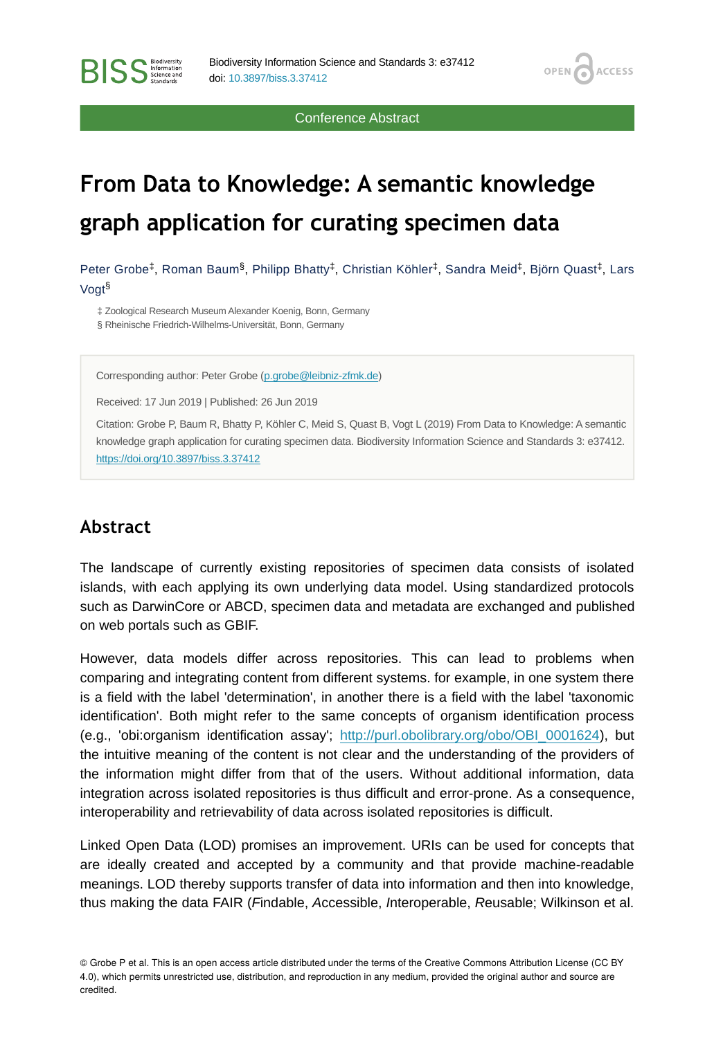Conference Abstract

OPEN<sub>C</sub>

**ACCESS** 

# **From Data to Knowledge: A semantic knowledge graph application for curating specimen data**

Peter Grobe<sup>‡</sup>, Roman Baum<sup>§</sup>, Philipp Bhatty<sup>‡</sup>, Christian Köhler<sup>‡</sup>, Sandra Meid<sup>‡</sup>, Björn Quast<sup>‡</sup>, Lars Vogt §

‡ Zoological Research Museum Alexander Koenig, Bonn, Germany § Rheinische Friedrich-Wilhelms-Universität, Bonn, Germany

Corresponding author: Peter Grobe ([p.grobe@leibniz-zfmk.de\)](mailto:p.grobe@leibniz-zfmk.de)

Received: 17 Jun 2019 | Published: 26 Jun 2019

Citation: Grobe P, Baum R, Bhatty P, Köhler C, Meid S, Quast B, Vogt L (2019) From Data to Knowledge: A semantic knowledge graph application for curating specimen data. Biodiversity Information Science and Standards 3: e37412. <https://doi.org/10.3897/biss.3.37412>

# **Abstract**

The landscape of currently existing repositories of specimen data consists of isolated islands, with each applying its own underlying data model. Using standardized protocols such as DarwinCore or ABCD, specimen data and metadata are exchanged and published on web portals such as GBIF.

However, data models differ across repositories. This can lead to problems when comparing and integrating content from different systems. for example, in one system there is a field with the label 'determination', in another there is a field with the label 'taxonomic identification'. Both might refer to the same concepts of organism identification process (e.g., 'obi:organism identification assay'; [http://purl.obolibrary.org/obo/OBI\\_0001624\)](http://purl.obolibrary.org/obo/OBI_0001624), but the intuitive meaning of the content is not clear and the understanding of the providers of the information might differ from that of the users. Without additional information, data integration across isolated repositories is thus difficult and error-prone. As a consequence, interoperability and retrievability of data across isolated repositories is difficult.

Linked Open Data (LOD) promises an improvement. URIs can be used for concepts that are ideally created and accepted by a community and that provide machine-readable meanings. LOD thereby supports transfer of data into information and then into knowledge, thus making the data FAIR (*F*indable, *A*ccessible, *I*nteroperable, *R*eusable; Wilkinson et al.

<sup>©</sup> Grobe P et al. This is an open access article distributed under the terms of the Creative Commons Attribution License (CC BY 4.0), which permits unrestricted use, distribution, and reproduction in any medium, provided the original author and source are credited.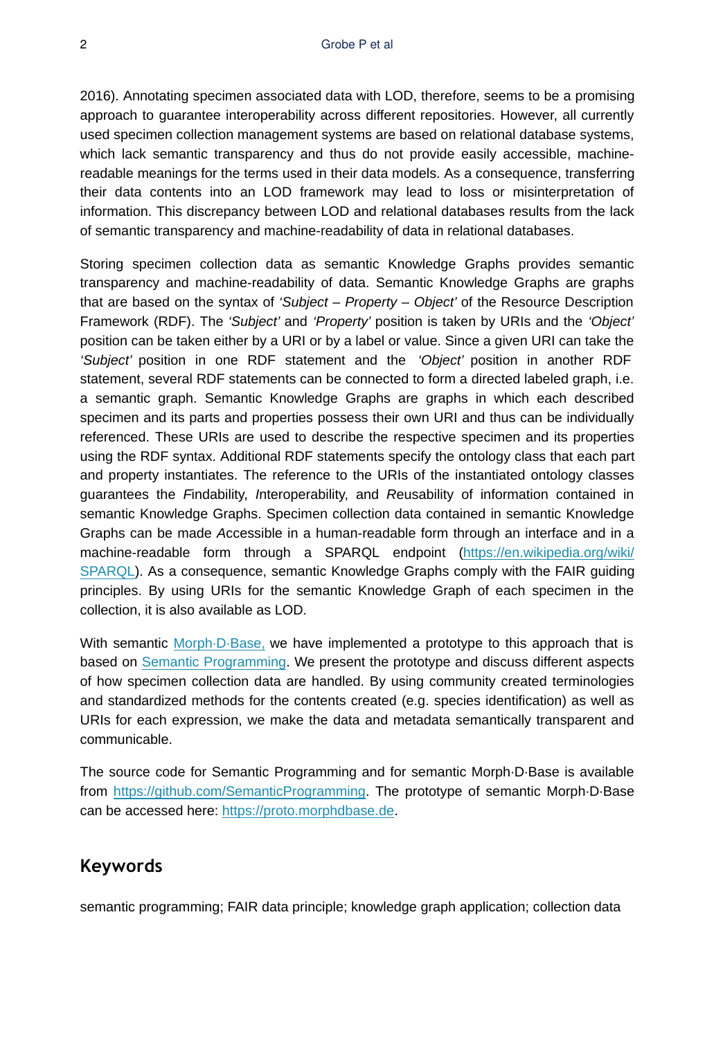2016). Annotating specimen associated data with LOD, therefore, seems to be a promising approach to guarantee interoperability across different repositories. However, all currently used specimen collection management systems are based on relational database systems, which lack semantic transparency and thus do not provide easily accessible, machinereadable meanings for the terms used in their data models. As a consequence, transferring their data contents into an LOD framework may lead to loss or misinterpretation of information. This discrepancy between LOD and relational databases results from the lack of semantic transparency and machine-readability of data in relational databases.

Storing specimen collection data as semantic Knowledge Graphs provides semantic transparency and machine-readability of data. Semantic Knowledge Graphs are graphs that are based on the syntax of *'Subject – Property – Object'* of the Resource Description Framework (RDF). The *'Subject'* and *'Property'* position is taken by URIs and the *'Object'* position can be taken either by a URI or by a label or value. Since a given URI can take the *'Subject'* position in one RDF statement and the *'Object'* position in another RDF statement, several RDF statements can be connected to form a directed labeled graph, i.e. a semantic graph. Semantic Knowledge Graphs are graphs in which each described specimen and its parts and properties possess their own URI and thus can be individually referenced. These URIs are used to describe the respective specimen and its properties using the RDF syntax. Additional RDF statements specify the ontology class that each part and property instantiates. The reference to the URIs of the instantiated ontology classes guarantees the *F*indability, *I*nteroperability, and *R*eusability of information contained in semantic Knowledge Graphs. Specimen collection data contained in semantic Knowledge Graphs can be made *A*ccessible in a human-readable form through an interface and in a machine-readable form through a SPARQL endpoint [\(https://en.wikipedia.org/wiki/](https://en.wikipedia.org/wiki/SPARQL) [SPARQL](https://en.wikipedia.org/wiki/SPARQL)). As a consequence, semantic Knowledge Graphs comply with the FAIR guiding principles. By using URIs for the semantic Knowledge Graph of each specimen in the collection, it is also available as LOD.

With semantic Morph<sub>·</sub>D·Base, we have implemented a prototype to this approach that is based on [Semantic Programming](https://www.semantic-web-journal.net/content/semantic-programming-framework-developing-ontology-controlled-applications). We present the prototype and discuss different aspects of how specimen collection data are handled. By using community created terminologies and standardized methods for the contents created (e.g. species identification) as well as URIs for each expression, we make the data and metadata semantically transparent and communicable.

The source code for Semantic Programming and for semantic Morph·D·Base is available from <https://github.com/SemanticProgramming>. The prototype of semantic Morph·D·Base can be accessed here:<https://proto.morphdbase.de>.

# **Keywords**

semantic programming; FAIR data principle; knowledge graph application; collection data